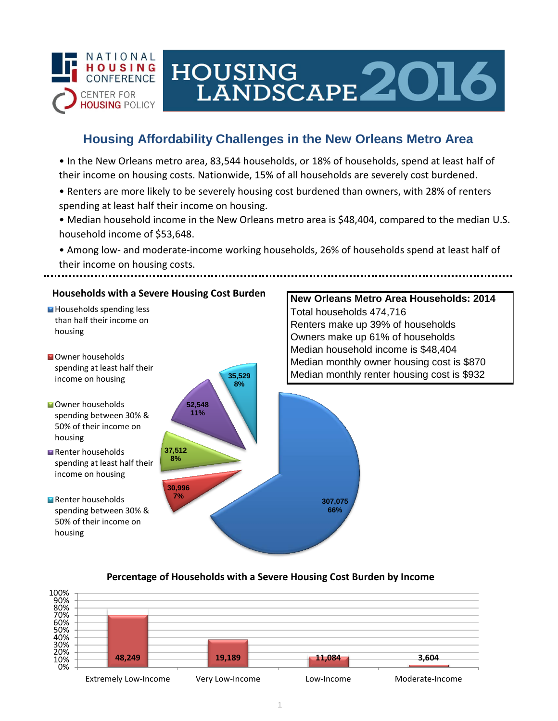

# HOUSING<br>LANDSCAPE 2016

## **Housing Affordability Challenges in the New Orleans Metro Area**

• In the New Orleans metro area, 83,544 households, or 18% of households, spend at least half of their income on housing costs. Nationwide, 15% of all households are severely cost burdened.

- Renters are more likely to be severely housing cost burdened than owners, with 28% of renters spending at least half their income on housing.
- Median household income in the New Orleans metro area is \$48,404, compared to the median U.S. household income of \$53,648.
- Among low- and moderate-income working households, 26% of households spend at least half of their income on housing costs.



### **Percentage of Households with a Severe Housing Cost Burden by Income**